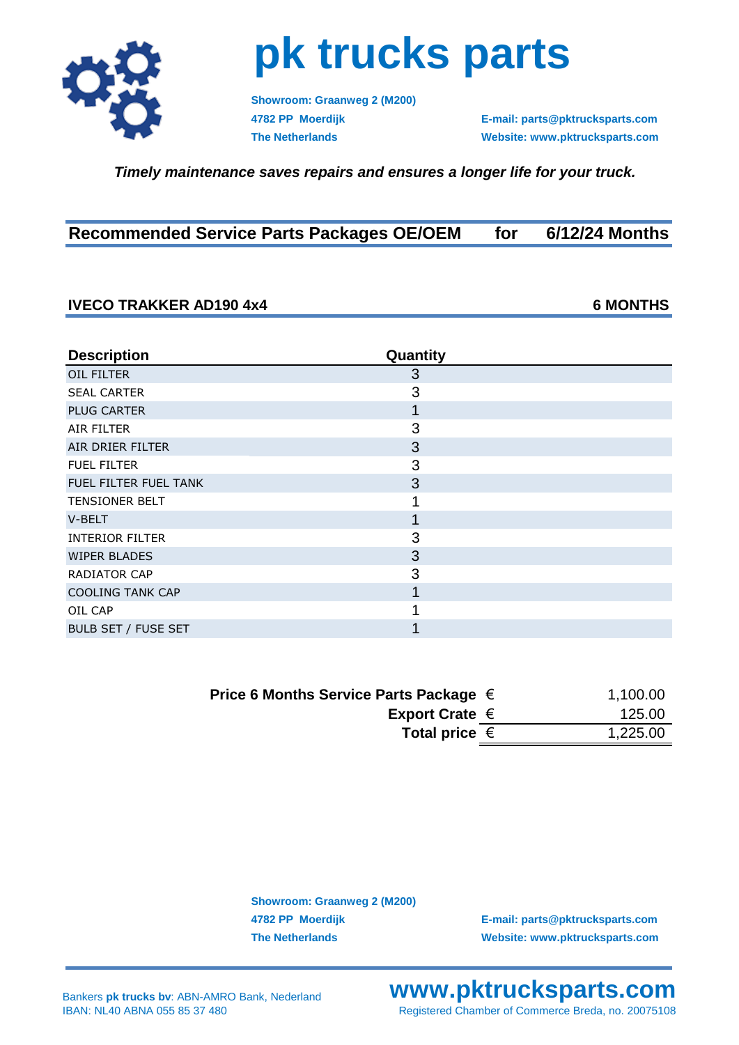

## **pk trucks parts**

**Showroom: Graanweg 2 (M200)**

**4782 PP Moerdijk E-mail: parts@pktrucksparts.com The Netherlands Website: www.pktrucksparts.com**

 *Timely maintenance saves repairs and ensures a longer life for your truck.*

| <b>Recommended Service Parts Packages OE/OEM</b> |  | for $6/12/24$ Months |
|--------------------------------------------------|--|----------------------|
|--------------------------------------------------|--|----------------------|

## **IVECO TRAKKER AD190 4x4 6 MONTHS**

**Description Quantity OIL FILTER** 3 SEAL CARTER 3 PLUG CARTER **1** AIR FILTER 3 AIR DRIER FILTER 3 FUEL FILTER 3 FUEL FILTER FUEL TANK 3 TENSIONER BELT 1  $V$ -BELT  $\qquad \qquad$  1 INTERIOR FILTER 3 WIPER BLADES 3 RADIATOR CAP 3 COOLING TANK CAP **1** OIL CAP 1 BULB SET / FUSE SET 1

| Price 6 Months Service Parts Package $\in$ | 1,100.00 |
|--------------------------------------------|----------|
| Export Crate $\in$                         | 125.00   |
| Total price $\epsilon$                     | 1,225.00 |
|                                            |          |

**Showroom: Graanweg 2 (M200)**

**4782 PP Moerdijk E-mail: parts@pktrucksparts.com The Netherlands Website: www.pktrucksparts.com**

**www.pktrucksparts.com** Registered Chamber of Commerce Breda, no. 20075108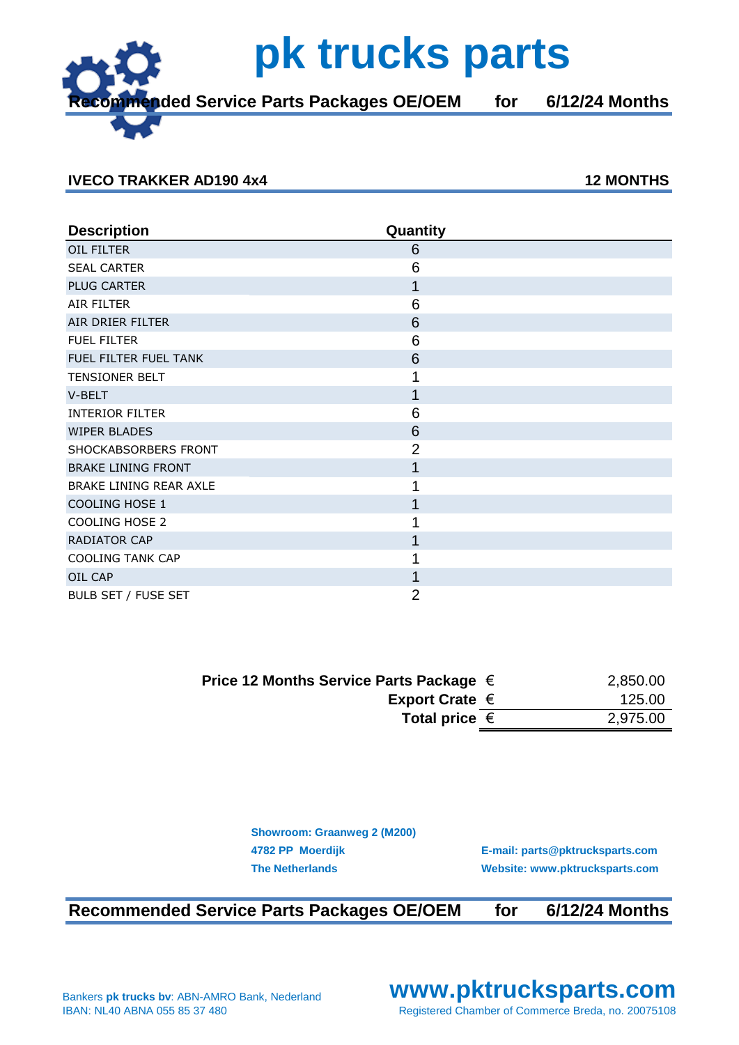**Recommended Service Parts Packages OE/OEM for 6/12/24 Months**

## **IVECO TRAKKER AD190 4x4 12 MONTHS**

| <b>Description</b>        | Quantity       |  |
|---------------------------|----------------|--|
| OIL FILTER                | 6              |  |
| <b>SEAL CARTER</b>        | 6              |  |
| <b>PLUG CARTER</b>        | 1              |  |
| AIR FILTER                | 6              |  |
| AIR DRIER FILTER          | 6              |  |
| <b>FUEL FILTER</b>        | 6              |  |
| FUEL FILTER FUEL TANK     | 6              |  |
| TENSIONER BELT            |                |  |
| V-BELT                    | 1              |  |
| <b>INTERIOR FILTER</b>    | 6              |  |
| <b>WIPER BLADES</b>       | 6              |  |
| SHOCKABSORBERS FRONT      | $\overline{2}$ |  |
| <b>BRAKE LINING FRONT</b> | 1              |  |
| BRAKE LINING REAR AXLE    |                |  |
| COOLING HOSE 1            | 1              |  |
| COOLING HOSE 2            |                |  |
| RADIATOR CAP              | 1              |  |
| <b>COOLING TANK CAP</b>   |                |  |
| OIL CAP                   | 1              |  |
| BULB SET / FUSE SET       | 2              |  |

| Price 12 Months Service Parts Package $\in$ | 2,850.00 |
|---------------------------------------------|----------|
| Export Crate $\in$                          | 125.00   |
| Total price $\epsilon$                      | 2,975.00 |

| <b>Showroom: Graanweg 2 (M200)</b> |                                 |
|------------------------------------|---------------------------------|
| 4782 PP Moerdijk                   | E-mail: parts@pktrucksparts.com |
| <b>The Netherlands</b>             | Website: www.pktrucksparts.com  |

**Recommended Service Parts Packages OE/OEM for 6/12/24 Months**

**www.pktrucksparts.com** Registered Chamber of Commerce Breda, no. 20075108



## **pk trucks parts**